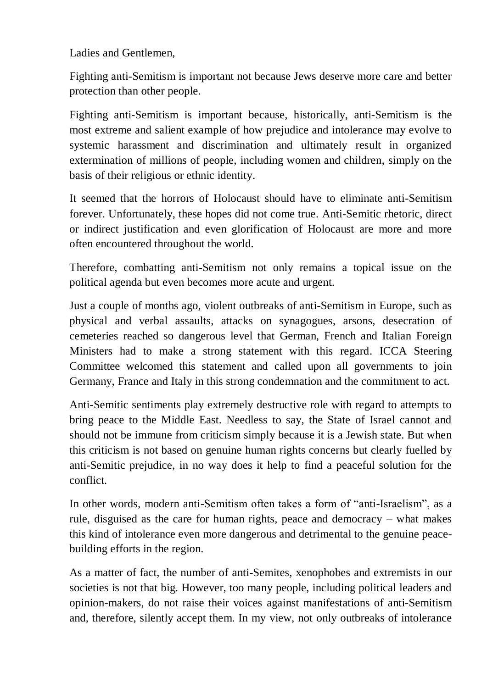Ladies and Gentlemen,

Fighting anti-Semitism is important not because Jews deserve more care and better protection than other people.

Fighting anti-Semitism is important because, historically, anti-Semitism is the most extreme and salient example of how prejudice and intolerance may evolve to systemic harassment and discrimination and ultimately result in organized extermination of millions of people, including women and children, simply on the basis of their religious or ethnic identity.

It seemed that the horrors of Holocaust should have to eliminate anti-Semitism forever. Unfortunately, these hopes did not come true. Anti-Semitic rhetoric, direct or indirect justification and even glorification of Holocaust are more and more often encountered throughout the world.

Therefore, combatting anti-Semitism not only remains a topical issue on the political agenda but even becomes more acute and urgent.

Just a couple of months ago, violent outbreaks of anti-Semitism in Europe, such as physical and verbal assaults, attacks on synagogues, arsons, desecration of cemeteries reached so dangerous level that German, French and Italian Foreign Ministers had to make a strong statement with this regard. ICCA Steering Committee welcomed this statement and called upon all governments to join Germany, France and Italy in this strong condemnation and the commitment to act.

Anti-Semitic sentiments play extremely destructive role with regard to attempts to bring peace to the Middle East. Needless to say, the State of Israel cannot and should not be immune from criticism simply because it is a Jewish state. But when this criticism is not based on genuine human rights concerns but clearly fuelled by anti-Semitic prejudice, in no way does it help to find a peaceful solution for the conflict.

In other words, modern anti-Semitism often takes a form of "anti-Israelism", as a rule, disguised as the care for human rights, peace and democracy – what makes this kind of intolerance even more dangerous and detrimental to the genuine peacebuilding efforts in the region.

As a matter of fact, the number of anti-Semites, xenophobes and extremists in our societies is not that big. However, too many people, including political leaders and opinion-makers, do not raise their voices against manifestations of anti-Semitism and, therefore, silently accept them. In my view, not only outbreaks of intolerance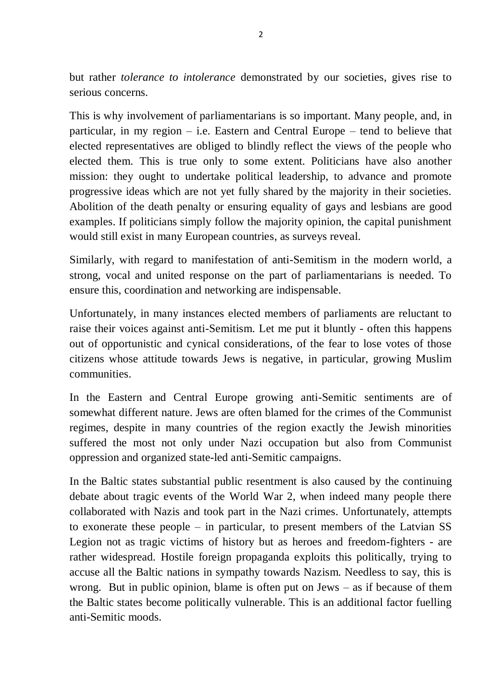but rather *tolerance to intolerance* demonstrated by our societies, gives rise to serious concerns.

This is why involvement of parliamentarians is so important. Many people, and, in particular, in my region – i.e. Eastern and Central Europe – tend to believe that elected representatives are obliged to blindly reflect the views of the people who elected them. This is true only to some extent. Politicians have also another mission: they ought to undertake political leadership, to advance and promote progressive ideas which are not yet fully shared by the majority in their societies. Abolition of the death penalty or ensuring equality of gays and lesbians are good examples. If politicians simply follow the majority opinion, the capital punishment would still exist in many European countries, as surveys reveal.

Similarly, with regard to manifestation of anti-Semitism in the modern world, a strong, vocal and united response on the part of parliamentarians is needed. To ensure this, coordination and networking are indispensable.

Unfortunately, in many instances elected members of parliaments are reluctant to raise their voices against anti-Semitism. Let me put it bluntly - often this happens out of opportunistic and cynical considerations, of the fear to lose votes of those citizens whose attitude towards Jews is negative, in particular, growing Muslim communities.

In the Eastern and Central Europe growing anti-Semitic sentiments are of somewhat different nature. Jews are often blamed for the crimes of the Communist regimes, despite in many countries of the region exactly the Jewish minorities suffered the most not only under Nazi occupation but also from Communist oppression and organized state-led anti-Semitic campaigns.

In the Baltic states substantial public resentment is also caused by the continuing debate about tragic events of the World War 2, when indeed many people there collaborated with Nazis and took part in the Nazi crimes. Unfortunately, attempts to exonerate these people – in particular, to present members of the Latvian SS Legion not as tragic victims of history but as heroes and freedom-fighters - are rather widespread. Hostile foreign propaganda exploits this politically, trying to accuse all the Baltic nations in sympathy towards Nazism. Needless to say, this is wrong. But in public opinion, blame is often put on Jews – as if because of them the Baltic states become politically vulnerable. This is an additional factor fuelling anti-Semitic moods.